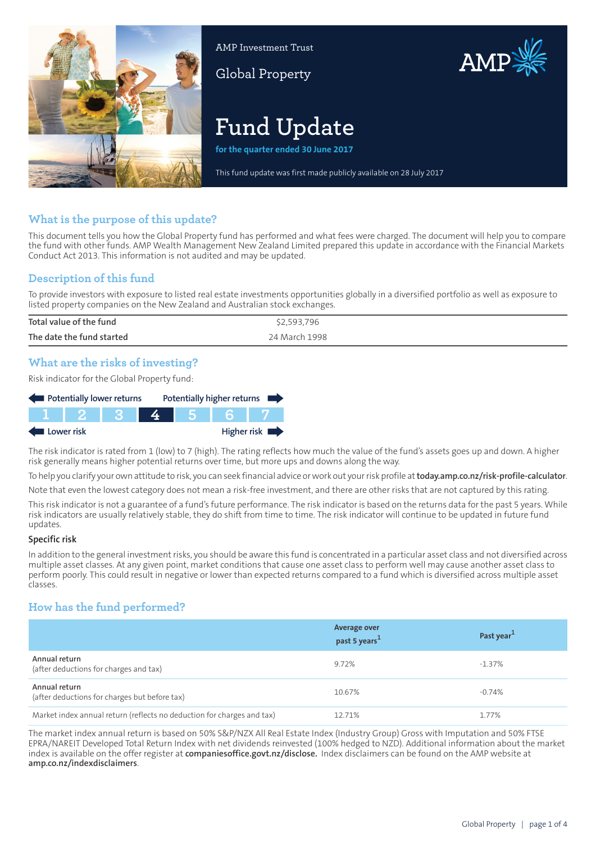

AMP Investment Trust

Global Property



# **Fund Update**

**for the quarter ended 30 June 2017**

This fund update was first made publicly available on 28 July 2017

# **What is the purpose of this update?**

This document tells you how the Global Property fund has performed and what fees were charged. The document will help you to compare the fund with other funds. AMP Wealth Management New Zealand Limited prepared this update in accordance with the Financial Markets Conduct Act 2013. This information is not audited and may be updated.

# **Description of this fund**

To provide investors with exposure to listed real estate investments opportunities globally in a diversified portfolio as well as exposure to listed property companies on the New Zealand and Australian stock exchanges.

| Total value of the fund   | \$2,593,796   |
|---------------------------|---------------|
| The date the fund started | 24 March 1998 |

# **What are the risks of investing?**

Risk indicator for the Global Property fund:

| Potentially lower returns |  |  |  | Potentially higher returns |
|---------------------------|--|--|--|----------------------------|
|                           |  |  |  |                            |
| Lower risk                |  |  |  | Higher risk                |

The risk indicator is rated from 1 (low) to 7 (high). The rating reflects how much the value of the fund's assets goes up and down. A higher risk generally means higher potential returns over time, but more ups and downs along the way.

To help you clarify your own attitude to risk, you can seek financial advice orwork out yourrisk profile at**[today.amp.co.nz/risk-profile-calculator](http://today.amp.co.nz/risk-profile-calculator)**.

Note that even the lowest category does not mean a risk-free investment, and there are other risks that are not captured by this rating.

This risk indicator is not a guarantee of a fund's future performance. The risk indicator is based on the returns data for the past 5 years. While risk indicators are usually relatively stable, they do shift from time to time. The risk indicator will continue to be updated in future fund updates.

#### **Specific risk**

In addition to the general investmentrisks, you should be aware this fund is concentrated in a particular asset class and not diversified across multiple asset classes. At any given point, market conditions that cause one asset class to perform well may cause another asset class to perform poorly. This could result in negative or lower than expected returns compared to a fund which is diversified across multiple asset classes.

# **How has the fund performed?**

|                                                                        | <b>Average over</b><br>past 5 years <sup>1</sup> | Past year <sup>1</sup> |
|------------------------------------------------------------------------|--------------------------------------------------|------------------------|
| Annual return<br>(after deductions for charges and tax)                | 9.72%                                            | $-1.37\%$              |
| Annual return<br>(after deductions for charges but before tax)         | 10.67%                                           | $-0.74%$               |
| Market index annual return (reflects no deduction for charges and tax) | 12.71%                                           | 1.77%                  |

The market index annual return is based on 50% S&P/NZX All Real Estate Index (Industry Group) Gross with Imputation and 50% FTSE EPRA/NAREIT Developed Total Return Index with net dividends reinvested (100% hedged to NZD). Additional information about the market index is available on the offer register at **[companiesoffice.govt.nz/disclose.](http://companiesoffice.govt.nz/disclose)** Index disclaimers can be found on the AMP website at **[amp.co.nz/indexdisclaimers](http://amp.co.nz/indexdisclaimers)**.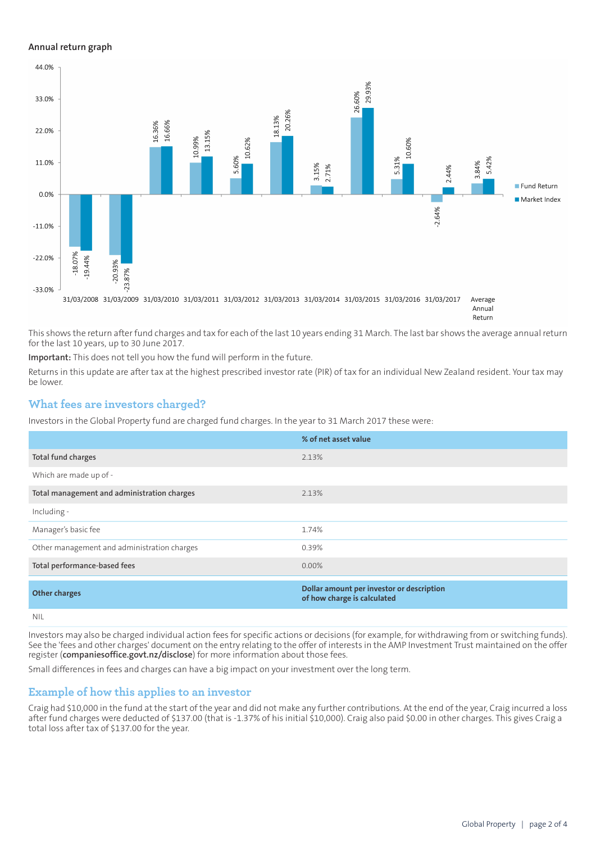#### **Annual return graph**



This shows the return after fund charges and tax for each of the last 10 years ending 31 March. The last bar shows the average annual return for the last 10 years, up to 30 June 2017.

**Important:** This does not tell you how the fund will perform in the future.

Returns in this update are after tax at the highest prescribed investor rate (PIR) of tax for an individual New Zealand resident. Your tax may be lower.

#### **What fees are investors charged?**

Investors in the Global Property fund are charged fund charges. In the year to 31 March 2017 these were:

|                                             | % of net asset value                                                     |
|---------------------------------------------|--------------------------------------------------------------------------|
| Total fund charges                          | 2.13%                                                                    |
| Which are made up of -                      |                                                                          |
| Total management and administration charges | 2.13%                                                                    |
| Including -                                 |                                                                          |
| Manager's basic fee                         | 1.74%                                                                    |
| Other management and administration charges | 0.39%                                                                    |
| Total performance-based fees                | $0.00\%$                                                                 |
| <b>Other charges</b>                        | Dollar amount per investor or description<br>of how charge is calculated |
| <b>NIL</b>                                  |                                                                          |

Investors may also be charged individual action fees for specific actions or decisions (for example, for withdrawing from or switching funds). See the 'fees and other charges' document on the entry relating to the offer of interests in the AMP Investment Trust maintained on the offer register (**[companiesoffice.govt.nz/disclose](http://companiesoffice.govt.nz/disclose)**) for more information about those fees.

Small differences in fees and charges can have a big impact on your investment over the long term.

#### **Example of how this applies to an investor**

Craig had \$10,000 in the fund at the start of the year and did not make any further contributions. At the end of the year, Craig incurred a loss after fund charges were deducted of \$137.00 (that is -1.37% of his initial \$10,000). Craig also paid \$0.00 in other charges. This gives Craig a total loss after tax of \$137.00 for the year.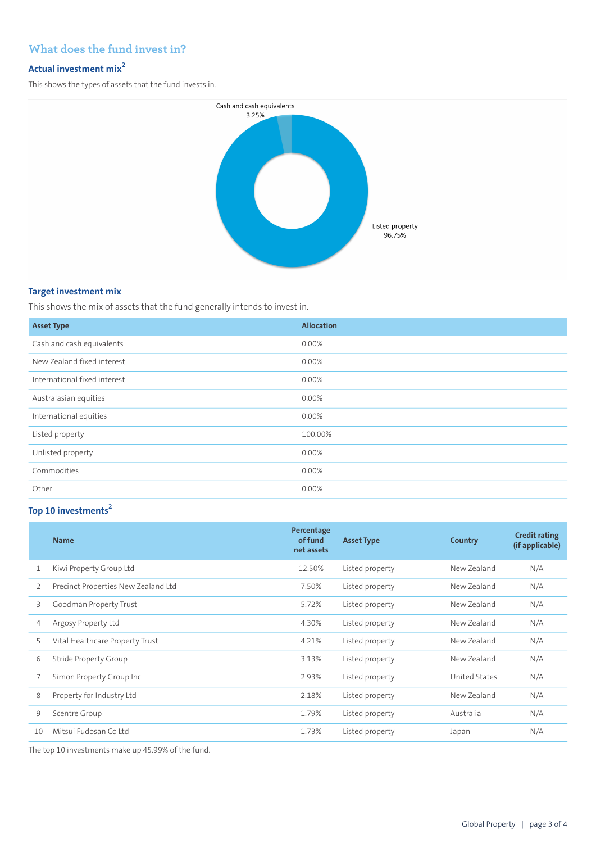# **What does the fund invest in?**

# **Actual investment mix<sup>2</sup>**

This shows the types of assets that the fund invests in.



#### **Target investment mix**

This shows the mix of assets that the fund generally intends to invest in.

| <b>Asset Type</b>            | <b>Allocation</b> |
|------------------------------|-------------------|
| Cash and cash equivalents    | $0.00\%$          |
| New Zealand fixed interest   | 0.00%             |
| International fixed interest | 0.00%             |
| Australasian equities        | 0.00%             |
| International equities       | $0.00\%$          |
| Listed property              | 100.00%           |
| Unlisted property            | $0.00\%$          |
| Commodities                  | 0.00%             |
| Other                        | 0.00%             |

# **Top 10 investments<sup>2</sup>**

|    | <b>Name</b>                         | Percentage<br>of fund<br>net assets | <b>Asset Type</b> | Country       | <b>Credit rating</b><br>(if applicable) |
|----|-------------------------------------|-------------------------------------|-------------------|---------------|-----------------------------------------|
| 1  | Kiwi Property Group Ltd             | 12.50%                              | Listed property   | New Zealand   | N/A                                     |
| 2  | Precinct Properties New Zealand Ltd | 7.50%                               | Listed property   | New Zealand   | N/A                                     |
| 3  | Goodman Property Trust              | 5.72%                               | Listed property   | New Zealand   | N/A                                     |
| 4  | Argosy Property Ltd                 | 4.30%                               | Listed property   | New Zealand   | N/A                                     |
| 5  | Vital Healthcare Property Trust     | 4.21%                               | Listed property   | New Zealand   | N/A                                     |
| 6  | Stride Property Group               | 3.13%                               | Listed property   | New Zealand   | N/A                                     |
| 7  | Simon Property Group Inc            | 2.93%                               | Listed property   | United States | N/A                                     |
| 8  | Property for Industry Ltd           | 2.18%                               | Listed property   | New Zealand   | N/A                                     |
| 9  | Scentre Group                       | 1.79%                               | Listed property   | Australia     | N/A                                     |
| 10 | Mitsui Fudosan Co Itd               | 1.73%                               | Listed property   | Japan         | N/A                                     |

The top 10 investments make up 45.99% of the fund.